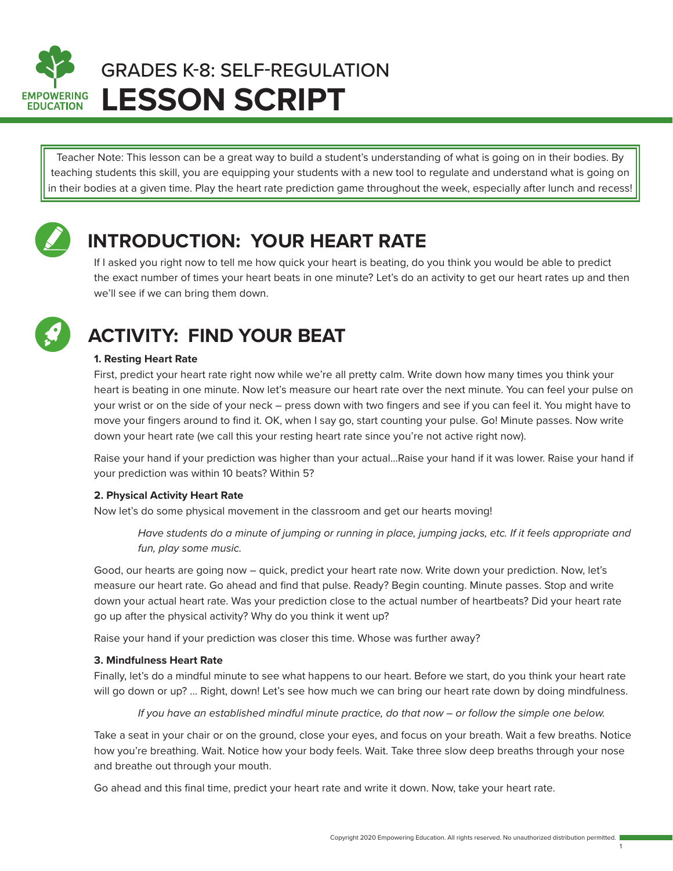

# **LESSON SCRIPT** GRADES K-8: SELF-REGULATION

Teacher Note: This lesson can be a great way to build a student's understanding of what is going on in their bodies. By teaching students this skill, you are equipping your students with a new tool to regulate and understand what is going on in their bodies at a given time. Play the heart rate prediction game throughout the week, especially after lunch and recess!



## **INTRODUCTION: YOUR HEART RATE**

If I asked you right now to tell me how quick your heart is beating, do you think you would be able to predict the exact number of times your heart beats in one minute? Let's do an activity to get our heart rates up and then we'll see if we can bring them down.



# **ACTIVITY: FIND YOUR BEAT**

#### **1. Resting Heart Rate**

First, predict your heart rate right now while we're all pretty calm. Write down how many times you think your heart is beating in one minute. Now let's measure our heart rate over the next minute. You can feel your pulse on your wrist or on the side of your neck – press down with two fingers and see if you can feel it. You might have to move your fingers around to find it. OK, when I say go, start counting your pulse. Go! Minute passes. Now write down your heart rate (we call this your resting heart rate since you're not active right now).

Raise your hand if your prediction was higher than your actual…Raise your hand if it was lower. Raise your hand if your prediction was within 10 beats? Within 5?

#### **2. Physical Activity Heart Rate**

Now let's do some physical movement in the classroom and get our hearts moving!

 *Have students do a minute of jumping or running in place, jumping jacks, etc. If it feels appropriate and fun, play some music.*

Good, our hearts are going now – quick, predict your heart rate now. Write down your prediction. Now, let's measure our heart rate. Go ahead and find that pulse. Ready? Begin counting. Minute passes. Stop and write down your actual heart rate. Was your prediction close to the actual number of heartbeats? Did your heart rate go up after the physical activity? Why do you think it went up?

Raise your hand if your prediction was closer this time. Whose was further away?

#### **3. Mindfulness Heart Rate**

Finally, let's do a mindful minute to see what happens to our heart. Before we start, do you think your heart rate will go down or up? ... Right, down! Let's see how much we can bring our heart rate down by doing mindfulness.

*If you have an established mindful minute practice, do that now – or follow the simple one below.*

Take a seat in your chair or on the ground, close your eyes, and focus on your breath. Wait a few breaths. Notice how you're breathing. Wait. Notice how your body feels. Wait. Take three slow deep breaths through your nose and breathe out through your mouth.

Go ahead and this final time, predict your heart rate and write it down. Now, take your heart rate.

1